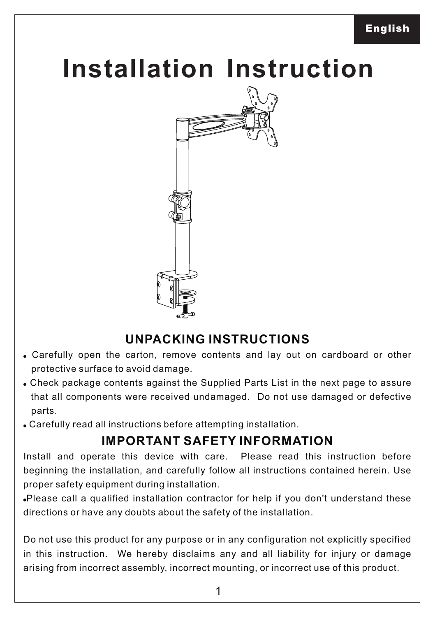## **Installation Instruction**



## **UNPACKING INSTRUCTIONS**

- ! Carefully open the carton, remove contents and lay out on cardboard or other protective surface to avoid damage.
- ! Check package contents against the Supplied Parts List in the next page to assure that all components were received undamaged. Do not use damaged or defective parts.
- . Carefully read all instructions before attempting installation.

## **IMPORTANT SAFETY INFORMATION**

Install and operate this device with care. Please read this instruction before beginning the installation, and carefully follow all instructions contained herein. Use proper safety equipment during installation.

!Please call a qualified installation contractor for help if you don't understand these directions or have any doubts about the safety of the installation.

Do not use this product for any purpose or in any configuration not explicitly specified in this instruction. We hereby disclaims any and all liability for injury or damage arising from incorrect assembly, incorrect mounting, or incorrect use of this product.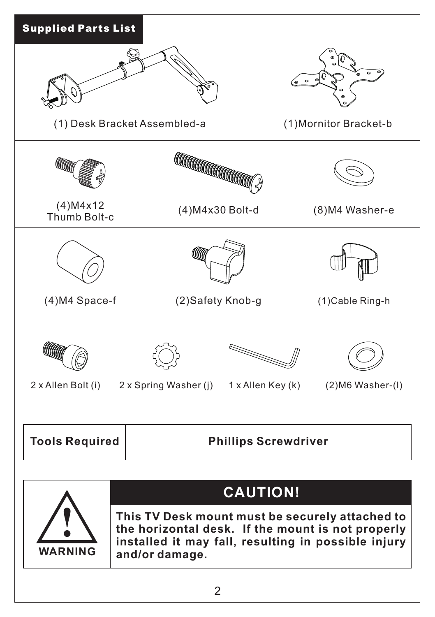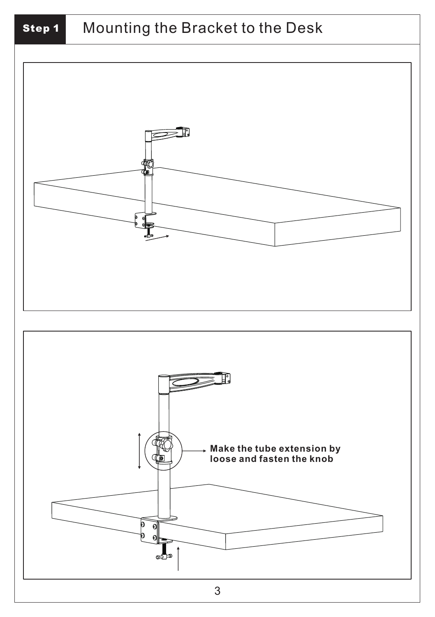